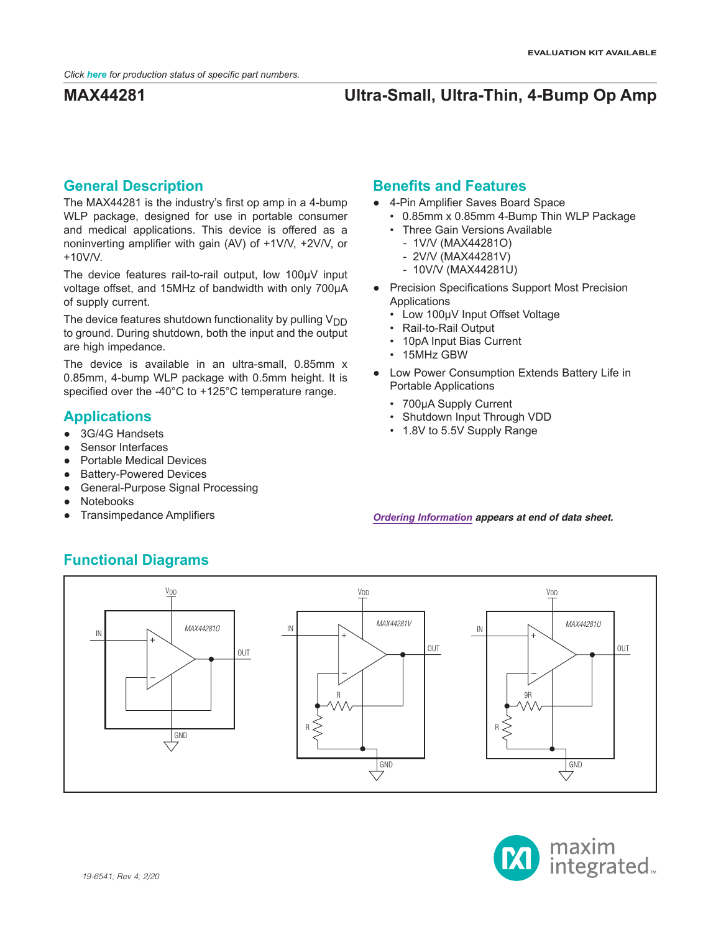## **General Description**

The MAX44281 is the industry's first op amp in a 4-bump WLP package, designed for use in portable consumer and medical applications. This device is offered as a noninverting amplifier with gain (AV) of +1V/V, +2V/V, or +10V/V.

The device features rail-to-rail output, low 100µV input voltage offset, and 15MHz of bandwidth with only 700µA of supply current.

The device features shutdown functionality by pulling  $V_{DD}$ to ground. During shutdown, both the input and the output are high impedance.

The device is available in an ultra-small, 0.85mm x 0.85mm, 4-bump WLP package with 0.5mm height. It is specified over the -40°C to +125°C temperature range.

## **Applications**

- 3G/4G Handsets
- Sensor Interfaces
- Portable Medical Devices
- **Battery-Powered Devices**
- General-Purpose Signal Processing
- **Notebooks**
- **Transimpedance Amplifiers**

## **Benefits and Features**

- 4-Pin Amplifier Saves Board Space
	- 0.85mm x 0.85mm 4-Bump Thin WLP Package
	- Three Gain Versions Available
		- 1V/V (MAX44281O)
		- 2V/V (MAX44281V)
		- 10V/V (MAX44281U)
- Precision Specifications Support Most Precision Applications
	- Low 100μV Input Offset Voltage
	- Rail-to-Rail Output
	- 10pA Input Bias Current
	- 15MHz GBW
- Low Power Consumption Extends Battery Life in Portable Applications
	- 700μA Supply Current
	- Shutdown Input Through VDD
	- 1.8V to 5.5V Supply Range

*[Ordering Information](#page-8-0) appears at end of data sheet.*





# **Functional Diagrams**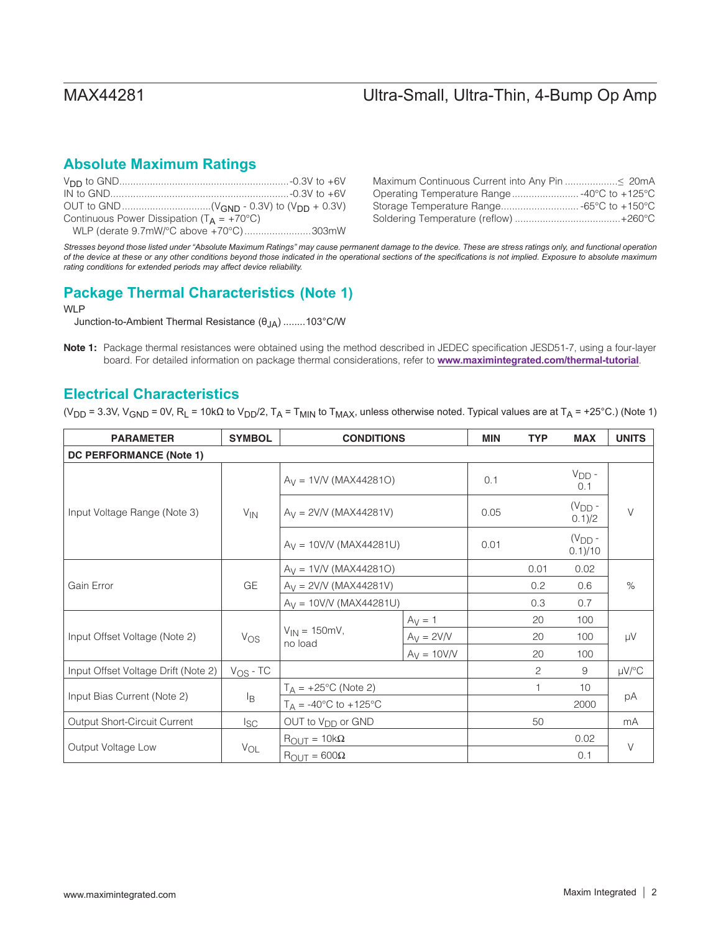## **Absolute Maximum Ratings**

| Continuous Power Dissipation ( $T_A = +70^{\circ}C$ ) |  |
|-------------------------------------------------------|--|
| WLP (derate 9.7mW/°C above +70°C)303mW                |  |

*Stresses beyond those listed under "Absolute Maximum Ratings" may cause permanent damage to the device. These are stress ratings only, and functional operation of the device at these or any other conditions beyond those indicated in the operational sections of the specifications is not implied. Exposure to absolute maximum rating conditions for extended periods may affect device reliability.*

## **(Note 1) Package Thermal Characteristics**

WLP

Junction-to-Ambient Thermal Resistance (θJA) ........103°C/W

Note 1: Package thermal resistances were obtained using the method described in JEDEC specification JESD51-7, using a four-layer board. For detailed information on package thermal considerations, refer to **<www.maximintegrated.com/thermal-tutorial>**.

## **Electrical Characteristics**

(V<sub>DD</sub> = 3.3V, V<sub>GND</sub> = 0V, R<sub>L</sub> = 10kΩ to V<sub>DD</sub>/2, T<sub>A</sub> = T<sub>MIN</sub> to T<sub>MAX</sub>, unless otherwise noted. Typical values are at T<sub>A</sub> = +25°C.) (Note 1)

| <b>PARAMETER</b>                    | <b>SYMBOL</b> | <b>CONDITIONS</b>                       |               | <b>MIN</b> | <b>TYP</b> | <b>MAX</b>             | <b>UNITS</b> |
|-------------------------------------|---------------|-----------------------------------------|---------------|------------|------------|------------------------|--------------|
| DC PERFORMANCE (Note 1)             |               |                                         |               |            |            |                        |              |
|                                     | $V_{IN}$      | $A_V = 1$ V/V (MAX44281O)               |               | 0.1        |            | $V_{DD}$ -<br>0.1      | $\vee$       |
| Input Voltage Range (Note 3)        |               | $A_V = 2V/V$ (MAX44281V)                |               | 0.05       |            | $(V_{DD} -$<br>0.1/2   |              |
|                                     |               | $A_V = 10V/V$ (MAX44281U)               |               | 0.01       |            | $(V_{DD} -$<br>0.1)/10 |              |
| Gain Error                          |               | $A_V = 1$ V/V (MAX44281O)               |               |            | 0.01       | 0.02                   |              |
|                                     | GE            | $A_V = 2V/V$ (MAX44281V)                |               |            | 0.2        | 0.6                    | $\%$         |
|                                     |               | $A_V = 10V/V$ (MAX44281U)               |               |            | 0.3        | 0.7                    |              |
|                                     | $V_{OS}$      | $V_{IN} = 150mV,$<br>no load            | $Ay = 1$      |            | 20         | 100                    | μV           |
| Input Offset Voltage (Note 2)       |               |                                         | $A_V = 2V/V$  |            | 20         | 100                    |              |
|                                     |               |                                         | $A_V = 10V/V$ |            | 20         | 100                    |              |
| Input Offset Voltage Drift (Note 2) | $V_{OS}$ - TC |                                         |               |            | 2          | 9                      | $\mu V$ /°C  |
|                                     | ΙB            | $T_A = +25$ °C (Note 2)                 |               |            | 1          | 10                     | рA           |
| Input Bias Current (Note 2)         |               | $T_A = -40^{\circ}C$ to $+125^{\circ}C$ |               |            |            | 2000                   |              |
| Output Short-Circuit Current        | $I_{SC}$      | OUT to V <sub>DD</sub> or GND           |               |            | 50         |                        | mA           |
|                                     | $V_{OL}$      | $R_{\text{OUT}} = 10k\Omega$            |               |            |            | 0.02                   | V            |
| Output Voltage Low                  |               | $R_{\text{OUT}} = 600\Omega$            |               |            |            | 0.1                    |              |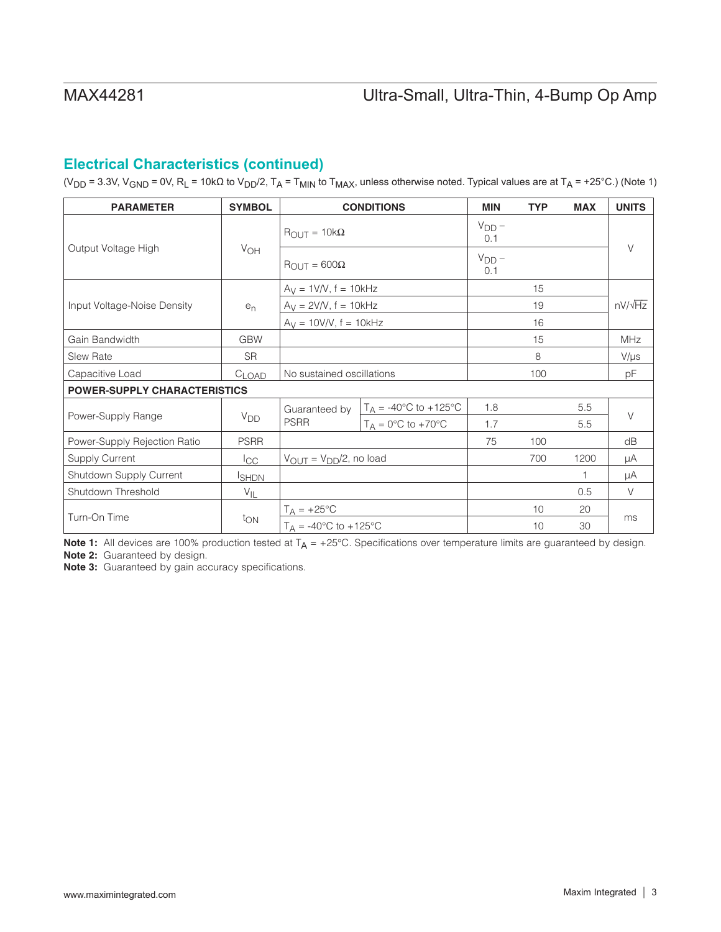## **Electrical Characteristics (continued)**

(V<sub>DD</sub> = 3.3V, V<sub>GND</sub> = 0V, R<sub>L</sub> = 10kΩ to V<sub>DD</sub>/2, T<sub>A</sub> = T<sub>MIN</sub> to T<sub>MAX</sub>, unless otherwise noted. Typical values are at T<sub>A</sub> = +25°C.) (Note 1)

| <b>PARAMETER</b>                    | <b>SYMBOL</b>         |                                              | <b>CONDITIONS</b>                       | <b>MIN</b>        | <b>TYP</b> | <b>MAX</b> | <b>UNITS</b>   |
|-------------------------------------|-----------------------|----------------------------------------------|-----------------------------------------|-------------------|------------|------------|----------------|
|                                     | VOH                   | $R_{\text{OUT}} = 10k\Omega$                 |                                         | $V_{DD}$ –<br>0.1 |            |            |                |
| Output Voltage High                 |                       | $R_{\text{OUT}} = 600\Omega$                 |                                         | $V_{DD}$ –<br>0.1 |            |            | $\vee$         |
|                                     |                       | $A_V = 1V/V$ , $f = 10kHz$                   |                                         |                   | 15         |            |                |
| Input Voltage-Noise Density         | $e_n$                 | $A_V = 2V/V$ , $f = 10kHz$                   |                                         |                   | 19         |            | $nV/\sqrt{Hz}$ |
|                                     |                       | $A_V = 10V/V$ , f = 10kHz                    |                                         |                   | 16         |            |                |
| Gain Bandwidth                      | <b>GBW</b>            |                                              |                                         |                   | 15         |            | <b>MHz</b>     |
| <b>Slew Rate</b>                    | <b>SR</b>             |                                              |                                         |                   | 8          |            | $V/\mu s$      |
| Capacitive Load                     | $C_{LOAD}$            | No sustained oscillations                    |                                         |                   | 100        |            | pF             |
| <b>POWER-SUPPLY CHARACTERISTICS</b> |                       |                                              |                                         |                   |            |            |                |
|                                     |                       | Guaranteed by                                | $T_A = -40^{\circ}C$ to $+125^{\circ}C$ | 1.8               |            | 5.5        | $\vee$         |
| Power-Supply Range                  | <b>V<sub>DD</sub></b> | <b>PSRR</b>                                  | $T_A = 0$ °C to +70°C                   | 1.7               |            | 5.5        |                |
| Power-Supply Rejection Ratio        | <b>PSRR</b>           |                                              |                                         | 75                | 100        |            | dB             |
| <b>Supply Current</b>               | ICC                   | $V_{\text{OUT}} = V_{\text{DD}}/2$ , no load |                                         |                   | 700        | 1200       | μA             |
| Shutdown Supply Current             | <b>SHDN</b>           |                                              |                                         |                   |            | 1          | μA             |
| Shutdown Threshold                  | $V_{IL}$              |                                              |                                         |                   |            | 0.5        | $\vee$         |
| Turn-On Time                        | ton                   | $T_A = +25$ °C                               |                                         |                   | 10         | 20         | ms             |
|                                     |                       | $T_A = -40^{\circ}C$ to $+125^{\circ}C$      |                                         |                   | 10         | 30         |                |

Note 1: All devices are 100% production tested at  $T_A = +25^{\circ}$ C. Specifications over temperature limits are guaranteed by design. Note 2: Guaranteed by design.

Note 3: Guaranteed by gain accuracy specifications.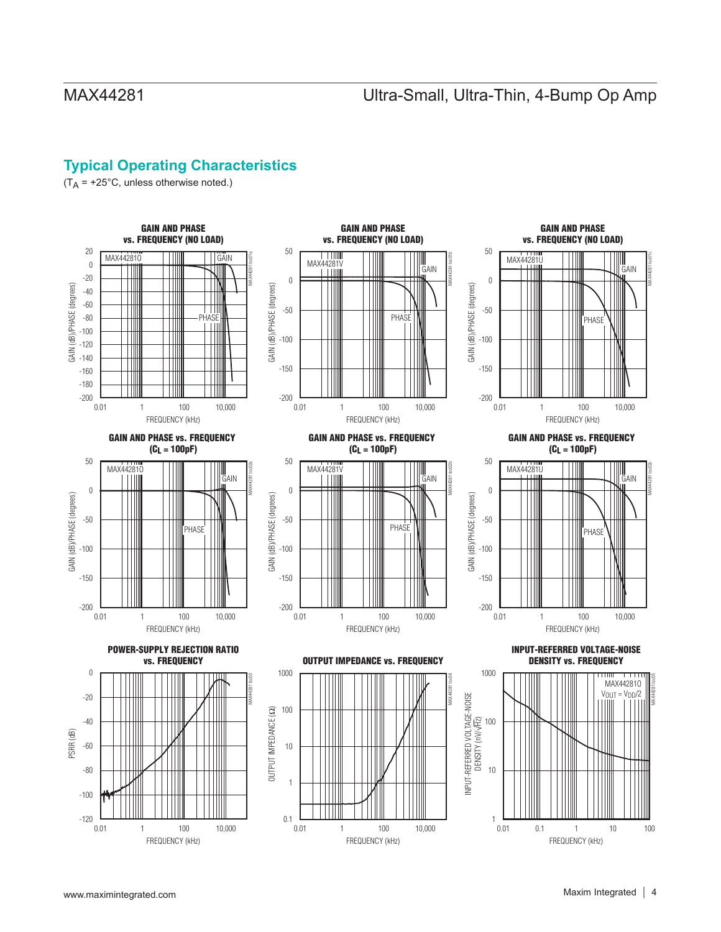## **Typical Operating Characteristics**

 $(T_A = +25^{\circ}C,$  unless otherwise noted.)

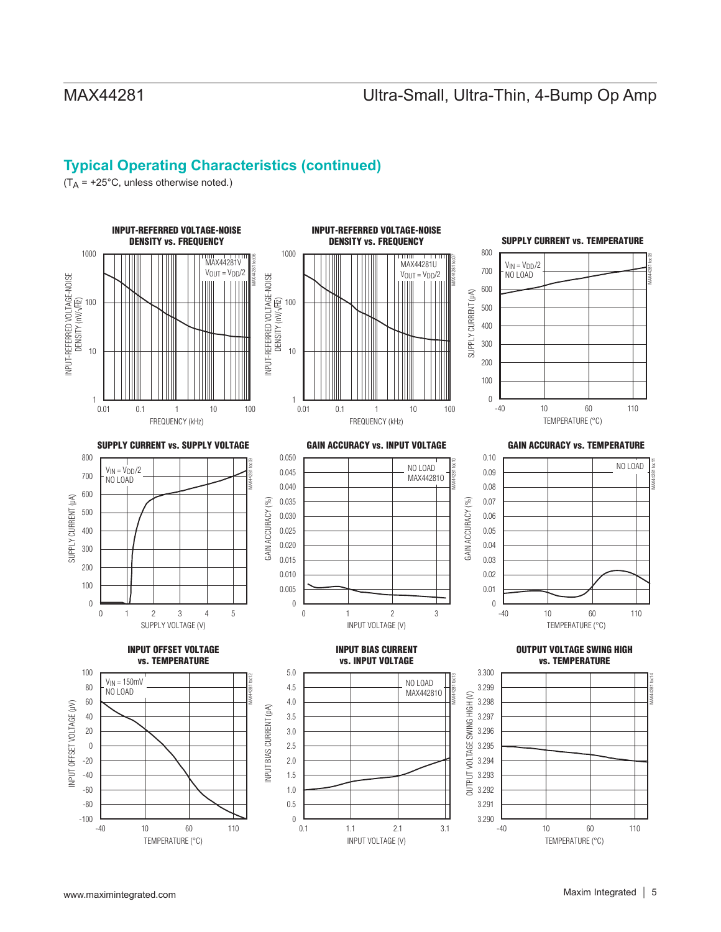## **Typical Operating Characteristics (continued)**

 $(T_A = +25^{\circ}C,$  unless otherwise noted.)

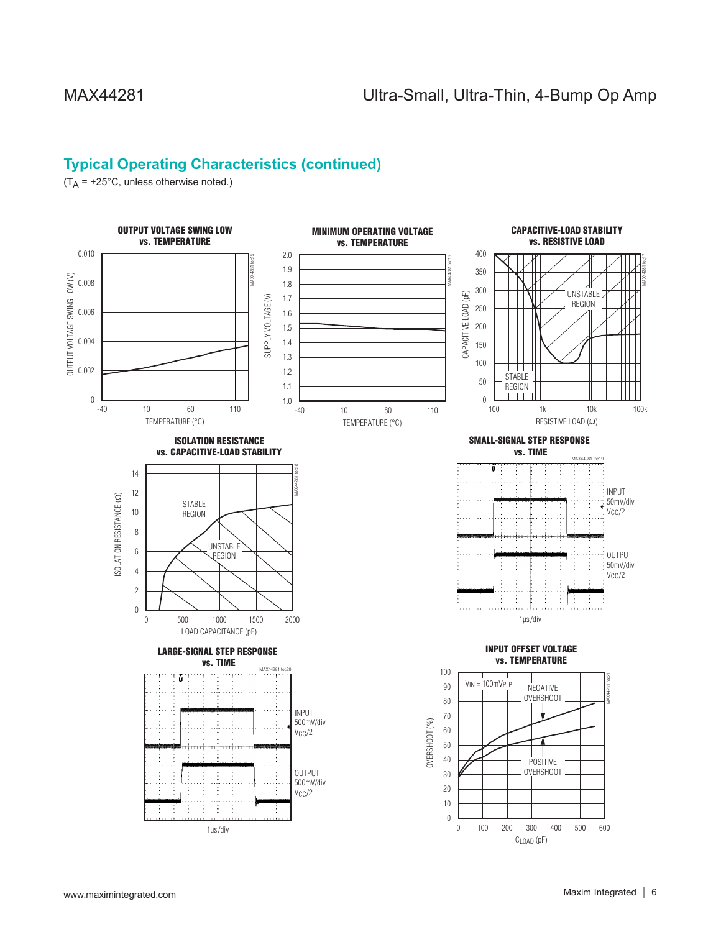## **Typical Operating Characteristics (continued)**

 $(T_A = +25^{\circ}C,$  unless otherwise noted.)

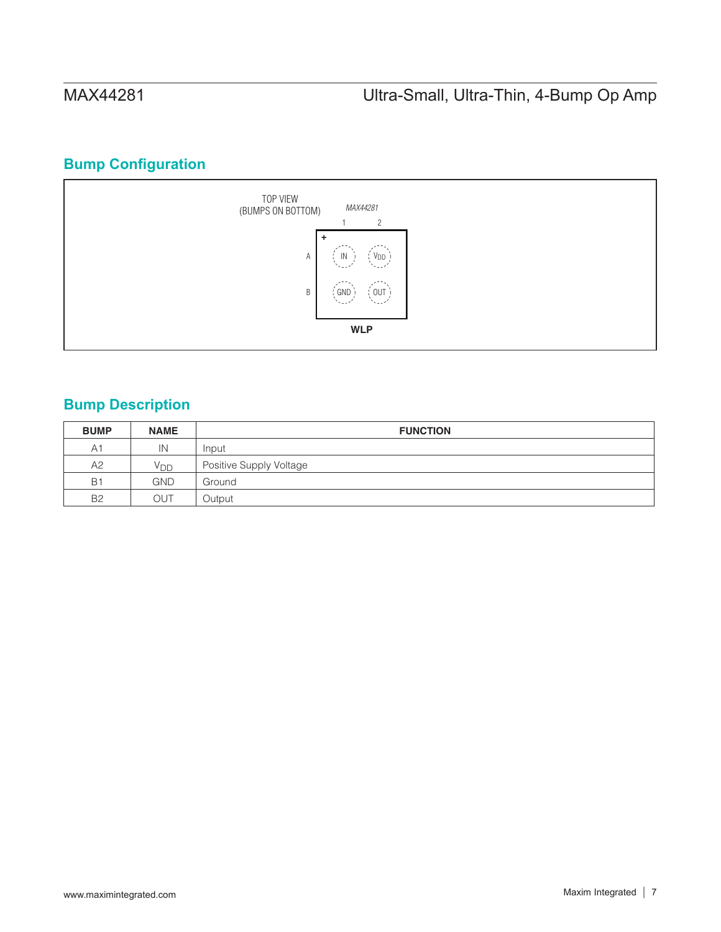## **Bump Configuration**



# **Bump Description**

| <b>BUMP</b>    | <b>NAME</b>     | <b>FUNCTION</b>         |
|----------------|-----------------|-------------------------|
| A <sub>1</sub> | IN              | Input                   |
| A2             | V <sub>DD</sub> | Positive Supply Voltage |
| <b>B1</b>      | <b>GND</b>      | Ground                  |
| <b>B2</b>      | OUT             | Output                  |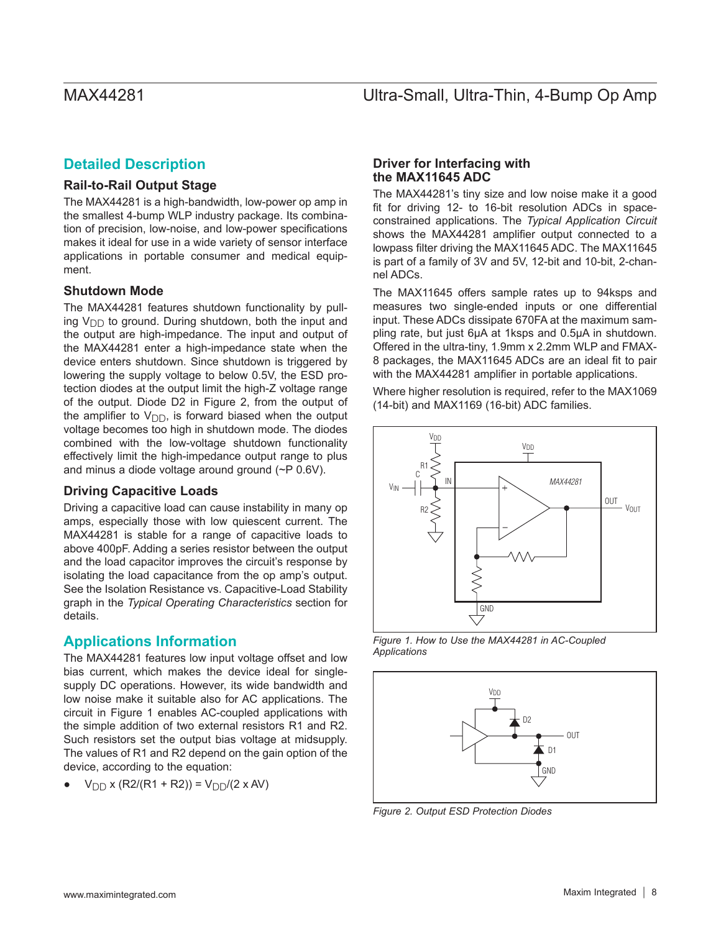## **Detailed Description**

## **Rail-to-Rail Output Stage**

The MAX44281 is a high-bandwidth, low-power op amp in the smallest 4-bump WLP industry package. Its combination of precision, low-noise, and low-power specifications makes it ideal for use in a wide variety of sensor interface applications in portable consumer and medical equipment.

## **Shutdown Mode**

The MAX44281 features shutdown functionality by pulling  $V_{\text{DD}}$  to ground. During shutdown, both the input and the output are high-impedance. The input and output of the MAX44281 enter a high-impedance state when the device enters shutdown. Since shutdown is triggered by lowering the supply voltage to below 0.5V, the ESD protection diodes at the output limit the high-Z voltage range of the output. Diode D2 in Figure 2, from the output of the amplifier to  $V_{DD}$ , is forward biased when the output voltage becomes too high in shutdown mode. The diodes combined with the low-voltage shutdown functionality effectively limit the high-impedance output range to plus and minus a diode voltage around ground (~P 0.6V).

## **Driving Capacitive Loads**

Driving a capacitive load can cause instability in many op amps, especially those with low quiescent current. The MAX44281 is stable for a range of capacitive loads to above 400pF. Adding a series resistor between the output and the load capacitor improves the circuit's response by isolating the load capacitance from the op amp's output. See the Isolation Resistance vs. Capacitive-Load Stability graph in the *Typical Operating Characteristics* section for details.

## **Applications Information**

The MAX44281 features low input voltage offset and low bias current, which makes the device ideal for singlesupply DC operations. However, its wide bandwidth and low noise make it suitable also for AC applications. The circuit in Figure 1 enables AC-coupled applications with the simple addition of two external resistors R1 and R2. Such resistors set the output bias voltage at midsupply. The values of R1 and R2 depend on the gain option of the device, according to the equation:

 $V_{\text{DD}}$  x (R2/(R1 + R2)) =  $V_{\text{DD}}$ /(2 x AV)

## **Driver for Interfacing with the MAX11645 ADC**

The MAX44281's tiny size and low noise make it a good fit for driving 12- to 16-bit resolution ADCs in spaceconstrained applications. The *Typical Application Circuit*  shows the MAX44281 amplifier output connected to a lowpass filter driving the MAX11645 ADC. The MAX11645 is part of a family of 3V and 5V, 12-bit and 10-bit, 2-channel ADCs.

The MAX11645 offers sample rates up to 94ksps and measures two single-ended inputs or one differential input. These ADCs dissipate 670FA at the maximum sampling rate, but just 6µA at 1ksps and 0.5µA in shutdown. Offered in the ultra-tiny, 1.9mm x 2.2mm WLP and FMAX-8 packages, the MAX11645 ADCs are an ideal fit to pair with the MAX44281 amplifier in portable applications.

Where higher resolution is required, refer to the MAX1069 (14-bit) and MAX1169 (16-bit) ADC families.



*Figure 1. How to Use the MAX44281 in AC-Coupled Applications*



*Figure 2. Output ESD Protection Diodes*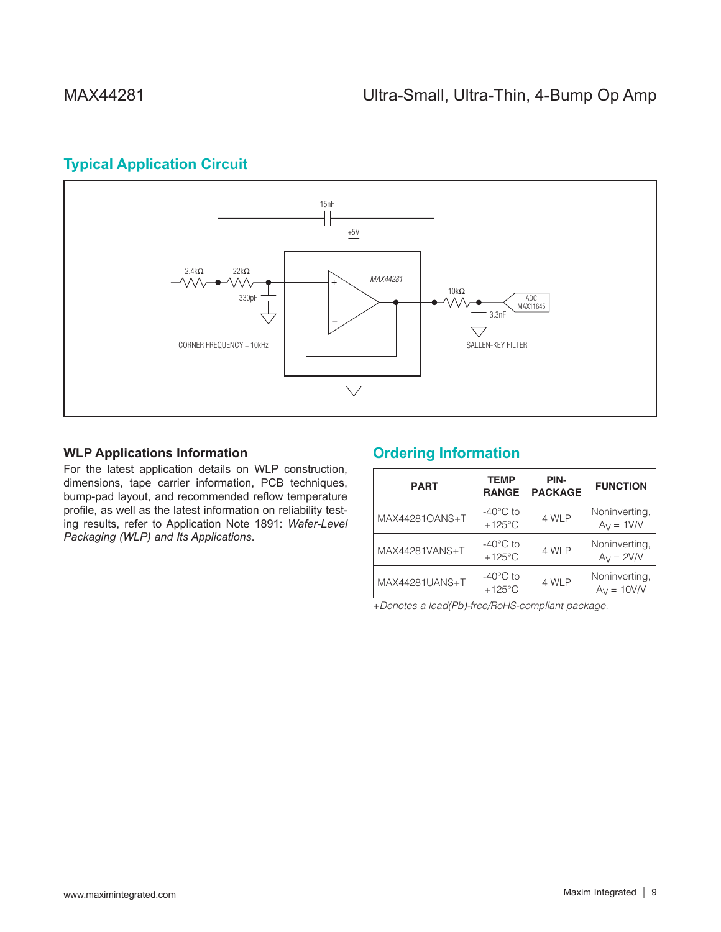## <span id="page-8-0"></span>**Typical Application Circuit**



## **WLP Applications Information**

For the latest application details on WLP construction, dimensions, tape carrier information, PCB techniques, bump-pad layout, and recommended reflow temperature profile, as well as the latest information on reliability testing results, refer to Application Note 1891: *Wafer-Level Packaging (WLP) and Its Applications*.

## **Ordering Information**

| <b>PART</b>    | <b>TEMP</b><br><b>RANGE</b>            | PIN-<br><b>PACKAGE</b> | <b>FUNCTION</b>                |
|----------------|----------------------------------------|------------------------|--------------------------------|
| MAX44281OANS+T | $-40^{\circ}$ C to<br>$+125^{\circ}$ C | 4 WLP                  | Noninverting.<br>$Ay = 1V/V$   |
| MAX44281VANS+T | $-40^{\circ}$ C to<br>$+125^{\circ}$ C | 4 WLP                  | Noninverting.<br>$Ay = 2V/V$   |
| MAX44281UANS+T | $-40^{\circ}$ C to<br>$+125^{\circ}$ C | 4 WLP                  | Noninverting,<br>$A_V = 10V/V$ |

+*Denotes a lead(Pb)-free/RoHS-compliant package.*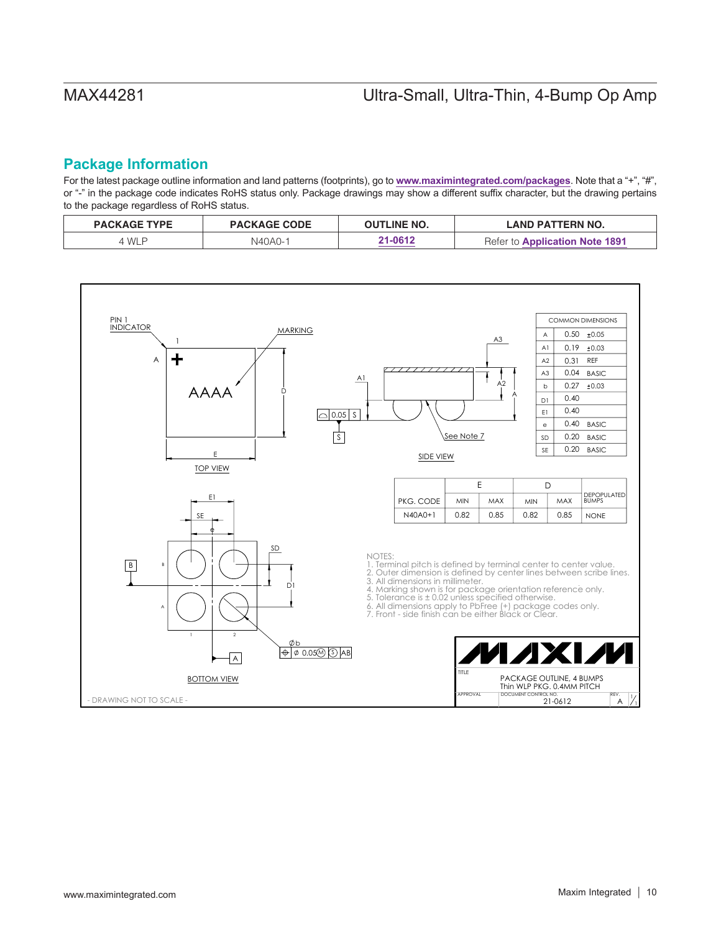## **Package Information**

For the latest package outline information and land patterns (footprints), go to **<www.maximintegrated.com/packages>**. Note that a "+", "#", or "-" in the package code indicates RoHS status only. Package drawings may show a different suffix character, but the drawing pertains to the package regardless of RoHS status.

| <b>PACKAGE TYPE</b> | <b>PACKAGE CODE</b> | <b>OUTLINE NO.</b> | LAND PATTERN NO.                         |
|---------------------|---------------------|--------------------|------------------------------------------|
| <b>WLP</b>          | N40A0-1             | 21-0612            | <b>Application Note 1891</b><br>Refer to |